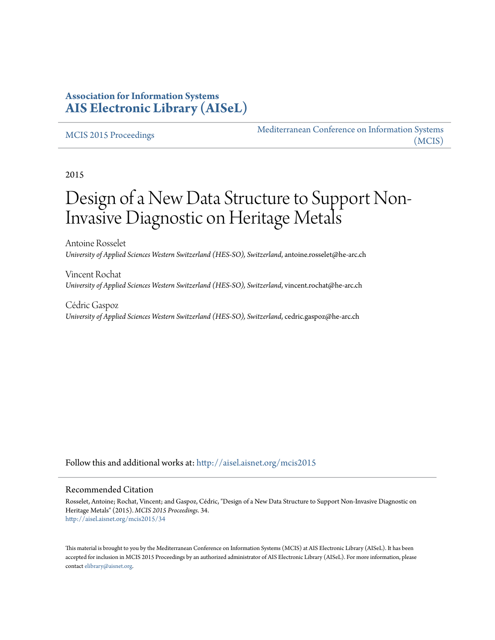### **Association for Information Systems [AIS Electronic Library \(AISeL\)](http://aisel.aisnet.org?utm_source=aisel.aisnet.org%2Fmcis2015%2F34&utm_medium=PDF&utm_campaign=PDFCoverPages)**

#### [MCIS 2015 Proceedings](http://aisel.aisnet.org/mcis2015?utm_source=aisel.aisnet.org%2Fmcis2015%2F34&utm_medium=PDF&utm_campaign=PDFCoverPages)

[Mediterranean Conference on Information Systems](http://aisel.aisnet.org/mcis?utm_source=aisel.aisnet.org%2Fmcis2015%2F34&utm_medium=PDF&utm_campaign=PDFCoverPages) [\(MCIS\)](http://aisel.aisnet.org/mcis?utm_source=aisel.aisnet.org%2Fmcis2015%2F34&utm_medium=PDF&utm_campaign=PDFCoverPages)

2015

# Design of a New Data Structure to Support Non-Invasive Diagnostic on Heritage Metals

Antoine Rosselet *University of Applied Sciences Western Switzerland (HES-SO), Switzerland*, antoine.rosselet@he-arc.ch

Vincent Rochat *University of Applied Sciences Western Switzerland (HES-SO), Switzerland*, vincent.rochat@he-arc.ch

Cédric Gaspoz *University of Applied Sciences Western Switzerland (HES-SO), Switzerland*, cedric.gaspoz@he-arc.ch

Follow this and additional works at: [http://aisel.aisnet.org/mcis2015](http://aisel.aisnet.org/mcis2015?utm_source=aisel.aisnet.org%2Fmcis2015%2F34&utm_medium=PDF&utm_campaign=PDFCoverPages)

#### Recommended Citation

Rosselet, Antoine; Rochat, Vincent; and Gaspoz, Cédric, "Design of a New Data Structure to Support Non-Invasive Diagnostic on Heritage Metals" (2015). *MCIS 2015 Proceedings*. 34. [http://aisel.aisnet.org/mcis2015/34](http://aisel.aisnet.org/mcis2015/34?utm_source=aisel.aisnet.org%2Fmcis2015%2F34&utm_medium=PDF&utm_campaign=PDFCoverPages)

This material is brought to you by the Mediterranean Conference on Information Systems (MCIS) at AIS Electronic Library (AISeL). It has been accepted for inclusion in MCIS 2015 Proceedings by an authorized administrator of AIS Electronic Library (AISeL). For more information, please contact [elibrary@aisnet.org.](mailto:elibrary@aisnet.org%3E)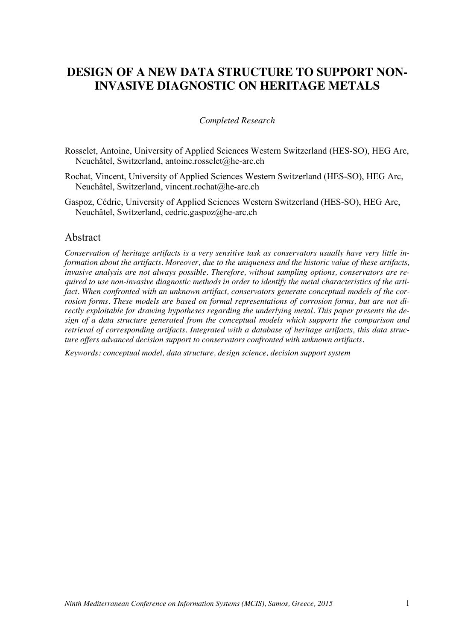## **DESIGN OF A NEW DATA STRUCTURE TO SUPPORT NON-INVASIVE DIAGNOSTIC ON HERITAGE METALS**

#### *Completed Research*

- Rosselet, Antoine, University of Applied Sciences Western Switzerland (HES-SO), HEG Arc, Neuchâtel, Switzerland, antoine.rosselet@he-arc.ch
- Rochat, Vincent, University of Applied Sciences Western Switzerland (HES-SO), HEG Arc, Neuchâtel, Switzerland, vincent.rochat@he-arc.ch
- Gaspoz, Cédric, University of Applied Sciences Western Switzerland (HES-SO), HEG Arc, Neuchâtel, Switzerland, cedric.gaspoz@he-arc.ch

#### Abstract

*Conservation of heritage artifacts is a very sensitive task as conservators usually have very little information about the artifacts. Moreover, due to the uniqueness and the historic value of these artifacts, invasive analysis are not always possible. Therefore, without sampling options, conservators are required to use non-invasive diagnostic methods in order to identify the metal characteristics of the artifact. When confronted with an unknown artifact, conservators generate conceptual models of the corrosion forms. These models are based on formal representations of corrosion forms, but are not directly exploitable for drawing hypotheses regarding the underlying metal. This paper presents the design of a data structure generated from the conceptual models which supports the comparison and retrieval of corresponding artifacts. Integrated with a database of heritage artifacts, this data structure offers advanced decision support to conservators confronted with unknown artifacts.*

*Keywords: conceptual model, data structure, design science, decision support system*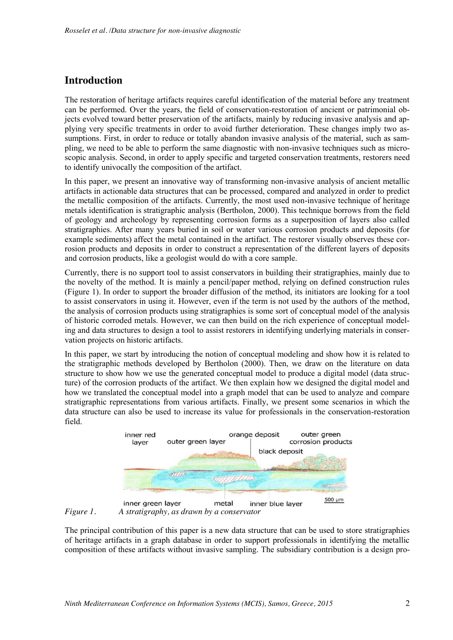## **Introduction**

The restoration of heritage artifacts requires careful identification of the material before any treatment can be performed. Over the years, the field of conservation-restoration of ancient or patrimonial objects evolved toward better preservation of the artifacts, mainly by reducing invasive analysis and applying very specific treatments in order to avoid further deterioration. These changes imply two assumptions. First, in order to reduce or totally abandon invasive analysis of the material, such as sampling, we need to be able to perform the same diagnostic with non-invasive techniques such as microscopic analysis. Second, in order to apply specific and targeted conservation treatments, restorers need to identify univocally the composition of the artifact.

In this paper, we present an innovative way of transforming non-invasive analysis of ancient metallic artifacts in actionable data structures that can be processed, compared and analyzed in order to predict the metallic composition of the artifacts. Currently, the most used non-invasive technique of heritage metals identification is stratigraphic analysis (Bertholon, 2000). This technique borrows from the field of geology and archeology by representing corrosion forms as a superposition of layers also called stratigraphies. After many years buried in soil or water various corrosion products and deposits (for example sediments) affect the metal contained in the artifact. The restorer visually observes these corrosion products and deposits in order to construct a representation of the different layers of deposits and corrosion products, like a geologist would do with a core sample.

Currently, there is no support tool to assist conservators in building their stratigraphies, mainly due to the novelty of the method. It is mainly a pencil/paper method, relying on defined construction rules (Figure 1). In order to support the broader diffusion of the method, its initiators are looking for a tool to assist conservators in using it. However, even if the term is not used by the authors of the method, the analysis of corrosion products using stratigraphies is some sort of conceptual model of the analysis of historic corroded metals. However, we can then build on the rich experience of conceptual modeling and data structures to design a tool to assist restorers in identifying underlying materials in conservation projects on historic artifacts.

In this paper, we start by introducing the notion of conceptual modeling and show how it is related to the stratigraphic methods developed by Bertholon (2000). Then, we draw on the literature on data structure to show how we use the generated conceptual model to produce a digital model (data structure) of the corrosion products of the artifact. We then explain how we designed the digital model and how we translated the conceptual model into a graph model that can be used to analyze and compare stratigraphic representations from various artifacts. Finally, we present some scenarios in which the data structure can also be used to increase its value for professionals in the conservation-restoration field.



*Figure 1. A stratigraphy, as drawn by a conservator*

The principal contribution of this paper is a new data structure that can be used to store stratigraphies of heritage artifacts in a graph database in order to support professionals in identifying the metallic composition of these artifacts without invasive sampling. The subsidiary contribution is a design pro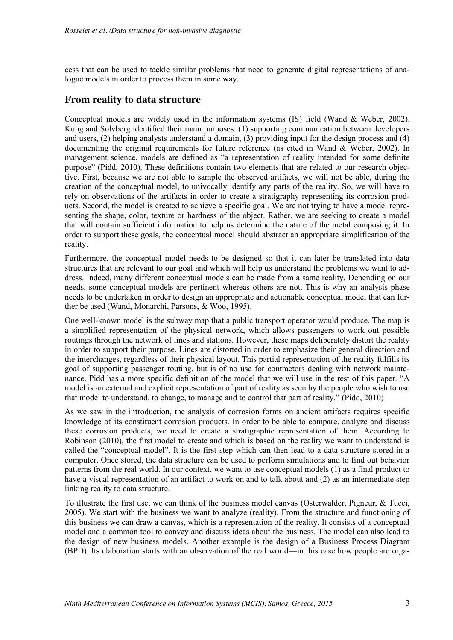cess that can be used to tackle similar problems that need to generate digital representations of analogue models in order to process them in some way.

#### **From reality to data structure**

Conceptual models are widely used in the information systems (IS) field (Wand & Weber, 2002). Kung and Solvberg identified their main purposes: (1) supporting communication between developers and users, (2) helping analysts understand a domain, (3) providing input for the design process and (4) documenting the original requirements for future reference (as cited in Wand & Weber, 2002). In management science, models are defined as "a representation of reality intended for some definite purpose" (Pidd, 2010). These definitions contain two elements that are related to our research objective. First, because we are not able to sample the observed artifacts, we will not be able, during the creation of the conceptual model, to univocally identify any parts of the reality. So, we will have to rely on observations of the artifacts in order to create a stratigraphy representing its corrosion products. Second, the model is created to achieve a specific goal. We are not trying to have a model representing the shape, color, texture or hardness of the object. Rather, we are seeking to create a model that will contain sufficient information to help us determine the nature of the metal composing it. In order to support these goals, the conceptual model should abstract an appropriate simplification of the reality.

Furthermore, the conceptual model needs to be designed so that it can later be translated into data structures that are relevant to our goal and which will help us understand the problems we want to address. Indeed, many different conceptual models can be made from a same reality. Depending on our needs, some conceptual models are pertinent whereas others are not. This is why an analysis phase needs to be undertaken in order to design an appropriate and actionable conceptual model that can further be used (Wand, Monarchi, Parsons, & Woo, 1995).

One well-known model is the subway map that a public transport operator would produce. The map is a simplified representation of the physical network, which allows passengers to work out possible routings through the network of lines and stations. However, these maps deliberately distort the reality in order to support their purpose. Lines are distorted in order to emphasize their general direction and the interchanges, regardless of their physical layout. This partial representation of the reality fulfills its goal of supporting passenger routing, but is of no use for contractors dealing with network maintenance. Pidd has a more specific definition of the model that we will use in the rest of this paper. "A model is an external and explicit representation of part of reality as seen by the people who wish to use that model to understand, to change, to manage and to control that part of reality." (Pidd, 2010)

As we saw in the introduction, the analysis of corrosion forms on ancient artifacts requires specific knowledge of its constituent corrosion products. In order to be able to compare, analyze and discuss these corrosion products, we need to create a stratigraphic representation of them. According to Robinson (2010), the first model to create and which is based on the reality we want to understand is called the "conceptual model". It is the first step which can then lead to a data structure stored in a computer. Once stored, the data structure can be used to perform simulations and to find out behavior patterns from the real world. In our context, we want to use conceptual models (1) as a final product to have a visual representation of an artifact to work on and to talk about and (2) as an intermediate step linking reality to data structure.

To illustrate the first use, we can think of the business model canvas (Osterwalder, Pigneur, & Tucci, 2005). We start with the business we want to analyze (reality). From the structure and functioning of this business we can draw a canvas, which is a representation of the reality. It consists of a conceptual model and a common tool to convey and discuss ideas about the business. The model can also lead to the design of new business models. Another example is the design of a Business Process Diagram (BPD). Its elaboration starts with an observation of the real world—in this case how people are orga-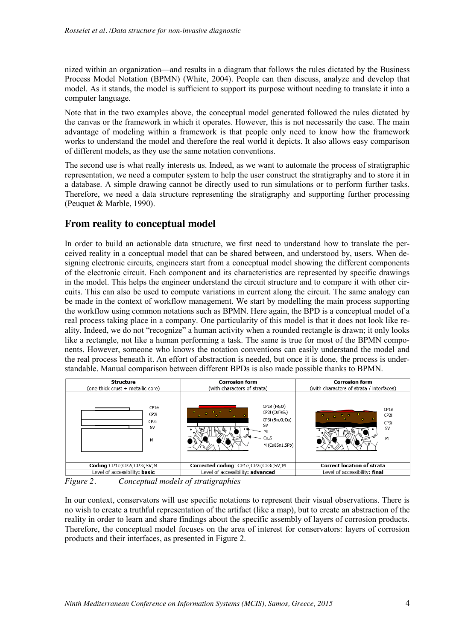nized within an organization—and results in a diagram that follows the rules dictated by the Business Process Model Notation (BPMN) (White, 2004). People can then discuss, analyze and develop that model. As it stands, the model is sufficient to support its purpose without needing to translate it into a computer language.

Note that in the two examples above, the conceptual model generated followed the rules dictated by the canvas or the framework in which it operates. However, this is not necessarily the case. The main advantage of modeling within a framework is that people only need to know how the framework works to understand the model and therefore the real world it depicts. It also allows easy comparison of different models, as they use the same notation conventions.

The second use is what really interests us. Indeed, as we want to automate the process of stratigraphic representation, we need a computer system to help the user construct the stratigraphy and to store it in a database. A simple drawing cannot be directly used to run simulations or to perform further tasks. Therefore, we need a data structure representing the stratigraphy and supporting further processing (Peuquet & Marble, 1990).

#### **From reality to conceptual model**

In order to build an actionable data structure, we first need to understand how to translate the perceived reality in a conceptual model that can be shared between, and understood by, users. When designing electronic circuits, engineers start from a conceptual model showing the different components of the electronic circuit. Each component and its characteristics are represented by specific drawings in the model. This helps the engineer understand the circuit structure and to compare it with other circuits. This can also be used to compute variations in current along the circuit. The same analogy can be made in the context of workflow management. We start by modelling the main process supporting the workflow using common notations such as BPMN. Here again, the BPD is a conceptual model of a real process taking place in a company. One particularity of this model is that it does not look like reality. Indeed, we do not "recognize" a human activity when a rounded rectangle is drawn; it only looks like a rectangle, not like a human performing a task. The same is true for most of the BPMN components. However, someone who knows the notation conventions can easily understand the model and the real process beneath it. An effort of abstraction is needed, but once it is done, the process is understandable. Manual comparison between different BPDs is also made possible thanks to BPMN.

| <b>Structure</b><br>(one thick crust + metallic core) | <b>Corrosion form</b><br>(with characters of strata)                                                               | <b>Corrosion form</b><br>(with characters of strata / interfaces) |  |
|-------------------------------------------------------|--------------------------------------------------------------------------------------------------------------------|-------------------------------------------------------------------|--|
| CP1e<br>CP <sub>2i</sub><br>CP3i<br><b>SV</b><br>M    | $CP1e$ (Fe,O)<br>CP2i (CuFeS <sub>2</sub> )<br>$CP3i$ (Sn,O,Cu)<br>SV<br>Pb<br>Cu <sub>2</sub> S<br>M (Cu8Sn1.5Pb) | CP <sub>1e</sub><br>CP <sub>2i</sub><br>CP3i<br><b>SV</b><br>м    |  |
| Coding:CP1e;CP2i;CP3i;SV;M                            | Corrected coding: CP1e;CP2i;CP3i;SV;M                                                                              | <b>Correct location of strata</b>                                 |  |
| Level of accessibility: basic                         | Level of accessibility: advanced                                                                                   | Level of accessibility: final                                     |  |

*Figure 2. Conceptual models of stratigraphies*

In our context, conservators will use specific notations to represent their visual observations. There is no wish to create a truthful representation of the artifact (like a map), but to create an abstraction of the reality in order to learn and share findings about the specific assembly of layers of corrosion products. Therefore, the conceptual model focuses on the area of interest for conservators: layers of corrosion products and their interfaces, as presented in Figure 2.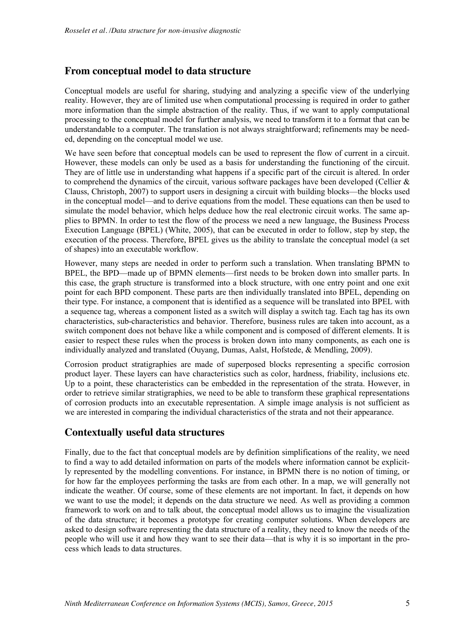#### **From conceptual model to data structure**

Conceptual models are useful for sharing, studying and analyzing a specific view of the underlying reality. However, they are of limited use when computational processing is required in order to gather more information than the simple abstraction of the reality. Thus, if we want to apply computational processing to the conceptual model for further analysis, we need to transform it to a format that can be understandable to a computer. The translation is not always straightforward; refinements may be needed, depending on the conceptual model we use.

We have seen before that conceptual models can be used to represent the flow of current in a circuit. However, these models can only be used as a basis for understanding the functioning of the circuit. They are of little use in understanding what happens if a specific part of the circuit is altered. In order to comprehend the dynamics of the circuit, various software packages have been developed (Cellier  $\&$ Clauss, Christoph, 2007) to support users in designing a circuit with building blocks—the blocks used in the conceptual model—and to derive equations from the model. These equations can then be used to simulate the model behavior, which helps deduce how the real electronic circuit works. The same applies to BPMN. In order to test the flow of the process we need a new language, the Business Process Execution Language (BPEL) (White, 2005), that can be executed in order to follow, step by step, the execution of the process. Therefore, BPEL gives us the ability to translate the conceptual model (a set of shapes) into an executable workflow.

However, many steps are needed in order to perform such a translation. When translating BPMN to BPEL, the BPD—made up of BPMN elements—first needs to be broken down into smaller parts. In this case, the graph structure is transformed into a block structure, with one entry point and one exit point for each BPD component. These parts are then individually translated into BPEL, depending on their type. For instance, a component that is identified as a sequence will be translated into BPEL with a sequence tag, whereas a component listed as a switch will display a switch tag. Each tag has its own characteristics, sub-characteristics and behavior. Therefore, business rules are taken into account, as a switch component does not behave like a while component and is composed of different elements. It is easier to respect these rules when the process is broken down into many components, as each one is individually analyzed and translated (Ouyang, Dumas, Aalst, Hofstede, & Mendling, 2009).

Corrosion product stratigraphies are made of superposed blocks representing a specific corrosion product layer. These layers can have characteristics such as color, hardness, friability, inclusions etc. Up to a point, these characteristics can be embedded in the representation of the strata. However, in order to retrieve similar stratigraphies, we need to be able to transform these graphical representations of corrosion products into an executable representation. A simple image analysis is not sufficient as we are interested in comparing the individual characteristics of the strata and not their appearance.

#### **Contextually useful data structures**

Finally, due to the fact that conceptual models are by definition simplifications of the reality, we need to find a way to add detailed information on parts of the models where information cannot be explicitly represented by the modelling conventions. For instance, in BPMN there is no notion of timing, or for how far the employees performing the tasks are from each other. In a map, we will generally not indicate the weather. Of course, some of these elements are not important. In fact, it depends on how we want to use the model; it depends on the data structure we need. As well as providing a common framework to work on and to talk about, the conceptual model allows us to imagine the visualization of the data structure; it becomes a prototype for creating computer solutions. When developers are asked to design software representing the data structure of a reality, they need to know the needs of the people who will use it and how they want to see their data—that is why it is so important in the process which leads to data structures.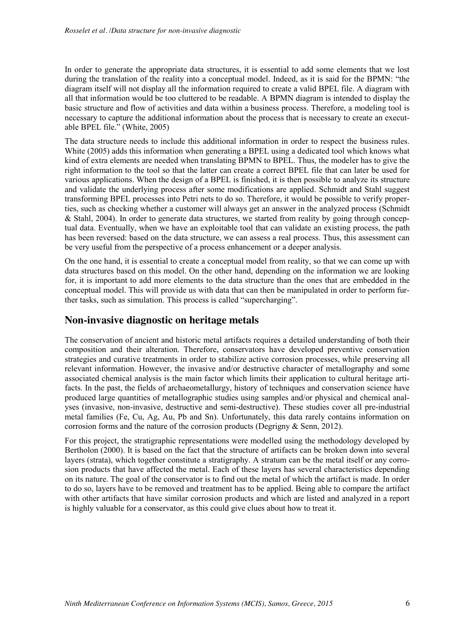In order to generate the appropriate data structures, it is essential to add some elements that we lost during the translation of the reality into a conceptual model. Indeed, as it is said for the BPMN: "the diagram itself will not display all the information required to create a valid BPEL file. A diagram with all that information would be too cluttered to be readable. A BPMN diagram is intended to display the basic structure and flow of activities and data within a business process. Therefore, a modeling tool is necessary to capture the additional information about the process that is necessary to create an executable BPEL file." (White, 2005)

The data structure needs to include this additional information in order to respect the business rules. White (2005) adds this information when generating a BPEL using a dedicated tool which knows what kind of extra elements are needed when translating BPMN to BPEL. Thus, the modeler has to give the right information to the tool so that the latter can create a correct BPEL file that can later be used for various applications. When the design of a BPEL is finished, it is then possible to analyze its structure and validate the underlying process after some modifications are applied. Schmidt and Stahl suggest transforming BPEL processes into Petri nets to do so. Therefore, it would be possible to verify properties, such as checking whether a customer will always get an answer in the analyzed process (Schmidt & Stahl, 2004). In order to generate data structures, we started from reality by going through conceptual data. Eventually, when we have an exploitable tool that can validate an existing process, the path has been reversed: based on the data structure, we can assess a real process. Thus, this assessment can be very useful from the perspective of a process enhancement or a deeper analysis.

On the one hand, it is essential to create a conceptual model from reality, so that we can come up with data structures based on this model. On the other hand, depending on the information we are looking for, it is important to add more elements to the data structure than the ones that are embedded in the conceptual model. This will provide us with data that can then be manipulated in order to perform further tasks, such as simulation. This process is called "supercharging".

#### **Non-invasive diagnostic on heritage metals**

The conservation of ancient and historic metal artifacts requires a detailed understanding of both their composition and their alteration. Therefore, conservators have developed preventive conservation strategies and curative treatments in order to stabilize active corrosion processes, while preserving all relevant information. However, the invasive and/or destructive character of metallography and some associated chemical analysis is the main factor which limits their application to cultural heritage artifacts. In the past, the fields of archaeometallurgy, history of techniques and conservation science have produced large quantities of metallographic studies using samples and/or physical and chemical analyses (invasive, non-invasive, destructive and semi-destructive). These studies cover all pre-industrial metal families (Fe, Cu, Ag, Au, Pb and Sn). Unfortunately, this data rarely contains information on corrosion forms and the nature of the corrosion products (Degrigny  $\&$  Senn, 2012).

For this project, the stratigraphic representations were modelled using the methodology developed by Bertholon (2000). It is based on the fact that the structure of artifacts can be broken down into several layers (strata), which together constitute a stratigraphy. A stratum can be the metal itself or any corrosion products that have affected the metal. Each of these layers has several characteristics depending on its nature. The goal of the conservator is to find out the metal of which the artifact is made. In order to do so, layers have to be removed and treatment has to be applied. Being able to compare the artifact with other artifacts that have similar corrosion products and which are listed and analyzed in a report is highly valuable for a conservator, as this could give clues about how to treat it.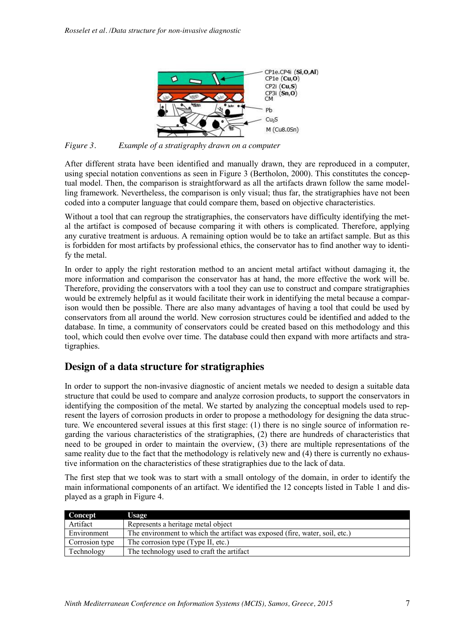

*Figure 3. Example of a stratigraphy drawn on a computer*

After different strata have been identified and manually drawn, they are reproduced in a computer, using special notation conventions as seen in Figure 3 (Bertholon, 2000). This constitutes the conceptual model. Then, the comparison is straightforward as all the artifacts drawn follow the same modelling framework. Nevertheless, the comparison is only visual; thus far, the stratigraphies have not been coded into a computer language that could compare them, based on objective characteristics.

Without a tool that can regroup the stratigraphies, the conservators have difficulty identifying the metal the artifact is composed of because comparing it with others is complicated. Therefore, applying any curative treatment is arduous. A remaining option would be to take an artifact sample. But as this is forbidden for most artifacts by professional ethics, the conservator has to find another way to identify the metal.

In order to apply the right restoration method to an ancient metal artifact without damaging it, the more information and comparison the conservator has at hand, the more effective the work will be. Therefore, providing the conservators with a tool they can use to construct and compare stratigraphies would be extremely helpful as it would facilitate their work in identifying the metal because a comparison would then be possible. There are also many advantages of having a tool that could be used by conservators from all around the world. New corrosion structures could be identified and added to the database. In time, a community of conservators could be created based on this methodology and this tool, which could then evolve over time. The database could then expand with more artifacts and stratigraphies.

#### **Design of a data structure for stratigraphies**

In order to support the non-invasive diagnostic of ancient metals we needed to design a suitable data structure that could be used to compare and analyze corrosion products, to support the conservators in identifying the composition of the metal. We started by analyzing the conceptual models used to represent the layers of corrosion products in order to propose a methodology for designing the data structure. We encountered several issues at this first stage: (1) there is no single source of information regarding the various characteristics of the stratigraphies, (2) there are hundreds of characteristics that need to be grouped in order to maintain the overview, (3) there are multiple representations of the same reality due to the fact that the methodology is relatively new and (4) there is currently no exhaustive information on the characteristics of these stratigraphies due to the lack of data.

The first step that we took was to start with a small ontology of the domain, in order to identify the main informational components of an artifact. We identified the 12 concepts listed in Table 1 and displayed as a graph in Figure 4.

| <b>Concept</b> | Usage                                                                       |
|----------------|-----------------------------------------------------------------------------|
| Artifact       | Represents a heritage metal object                                          |
| Environment    | The environment to which the artifact was exposed (fire, water, soil, etc.) |
| Corrosion type | The corrosion type (Type II, etc.)                                          |
| Technology     | The technology used to craft the artifact                                   |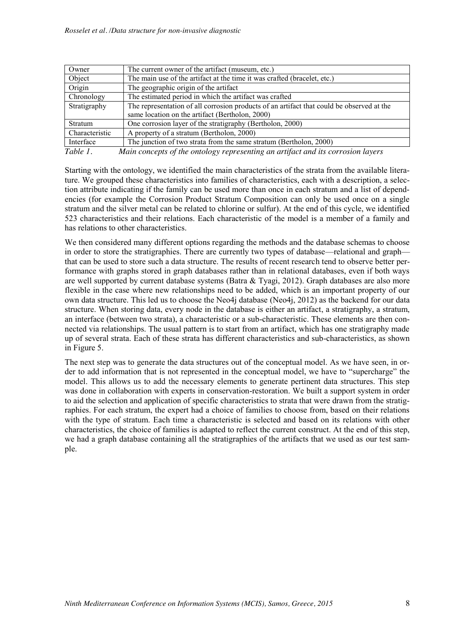| Owner          | The current owner of the artifact (museum, etc.)                                          |  |  |
|----------------|-------------------------------------------------------------------------------------------|--|--|
| Object         | The main use of the artifact at the time it was crafted (bracelet, etc.)                  |  |  |
| Origin         | The geographic origin of the artifact                                                     |  |  |
| Chronology     | The estimated period in which the artifact was crafted                                    |  |  |
| Stratigraphy   | The representation of all corrosion products of an artifact that could be observed at the |  |  |
|                | same location on the artifact (Bertholon, 2000)                                           |  |  |
| Stratum        | One corrosion layer of the stratigraphy (Bertholon, 2000)                                 |  |  |
| Characteristic | A property of a stratum (Bertholon, 2000)                                                 |  |  |
| Interface      | The junction of two strata from the same stratum (Bertholon, 2000)                        |  |  |
| Table 1.       | Main concepts of the ontology representing an artifact and its corrosion layers           |  |  |

Starting with the ontology, we identified the main characteristics of the strata from the available literature. We grouped these characteristics into families of characteristics, each with a description, a selection attribute indicating if the family can be used more than once in each stratum and a list of dependencies (for example the Corrosion Product Stratum Composition can only be used once on a single stratum and the silver metal can be related to chlorine or sulfur). At the end of this cycle, we identified 523 characteristics and their relations. Each characteristic of the model is a member of a family and has relations to other characteristics.

We then considered many different options regarding the methods and the database schemas to choose in order to store the stratigraphies. There are currently two types of database—relational and graph that can be used to store such a data structure. The results of recent research tend to observe better performance with graphs stored in graph databases rather than in relational databases, even if both ways are well supported by current database systems (Batra & Tyagi, 2012). Graph databases are also more flexible in the case where new relationships need to be added, which is an important property of our own data structure. This led us to choose the Neo4j database (Neo4j, 2012) as the backend for our data structure. When storing data, every node in the database is either an artifact, a stratigraphy, a stratum, an interface (between two strata), a characteristic or a sub-characteristic. These elements are then connected via relationships. The usual pattern is to start from an artifact, which has one stratigraphy made up of several strata. Each of these strata has different characteristics and sub-characteristics, as shown in Figure 5.

The next step was to generate the data structures out of the conceptual model. As we have seen, in order to add information that is not represented in the conceptual model, we have to "supercharge" the model. This allows us to add the necessary elements to generate pertinent data structures. This step was done in collaboration with experts in conservation-restoration. We built a support system in order to aid the selection and application of specific characteristics to strata that were drawn from the stratigraphies. For each stratum, the expert had a choice of families to choose from, based on their relations with the type of stratum. Each time a characteristic is selected and based on its relations with other characteristics, the choice of families is adapted to reflect the current construct. At the end of this step, we had a graph database containing all the stratigraphies of the artifacts that we used as our test sample.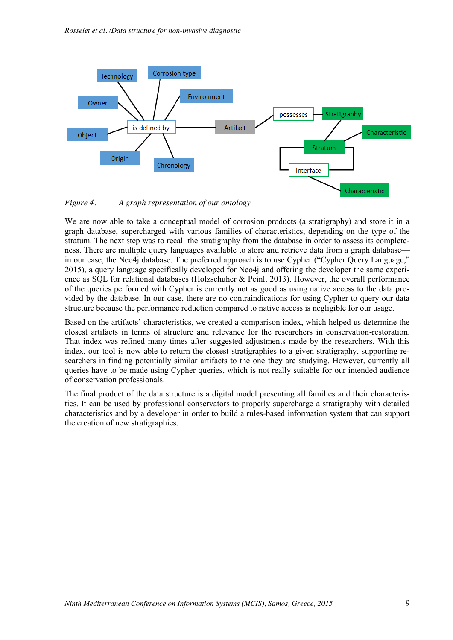

*Figure 4. A graph representation of our ontology*

We are now able to take a conceptual model of corrosion products (a stratigraphy) and store it in a graph database, supercharged with various families of characteristics, depending on the type of the stratum. The next step was to recall the stratigraphy from the database in order to assess its completeness. There are multiple query languages available to store and retrieve data from a graph database in our case, the Neo4j database. The preferred approach is to use Cypher ("Cypher Query Language," 2015), a query language specifically developed for Neo4j and offering the developer the same experience as SQL for relational databases (Holzschuher & Peinl, 2013). However, the overall performance of the queries performed with Cypher is currently not as good as using native access to the data provided by the database. In our case, there are no contraindications for using Cypher to query our data structure because the performance reduction compared to native access is negligible for our usage.

Based on the artifacts' characteristics, we created a comparison index, which helped us determine the closest artifacts in terms of structure and relevance for the researchers in conservation-restoration. That index was refined many times after suggested adjustments made by the researchers. With this index, our tool is now able to return the closest stratigraphies to a given stratigraphy, supporting researchers in finding potentially similar artifacts to the one they are studying. However, currently all queries have to be made using Cypher queries, which is not really suitable for our intended audience of conservation professionals.

The final product of the data structure is a digital model presenting all families and their characteristics. It can be used by professional conservators to properly supercharge a stratigraphy with detailed characteristics and by a developer in order to build a rules-based information system that can support the creation of new stratigraphies.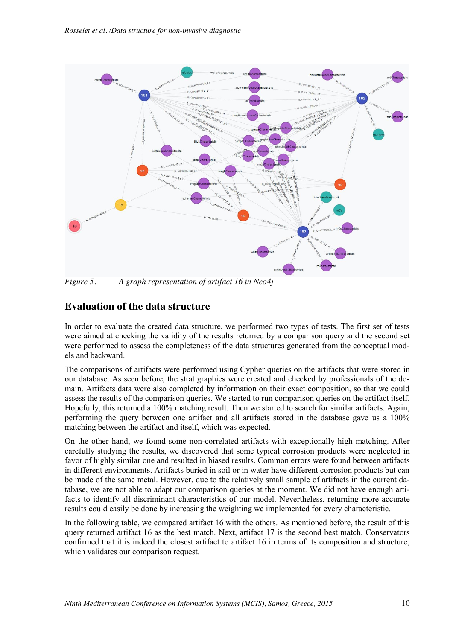

*Figure 5. A graph representation of artifact 16 in Neo4j*

#### **Evaluation of the data structure**

In order to evaluate the created data structure, we performed two types of tests. The first set of tests were aimed at checking the validity of the results returned by a comparison query and the second set were performed to assess the completeness of the data structures generated from the conceptual models and backward.

The comparisons of artifacts were performed using Cypher queries on the artifacts that were stored in our database. As seen before, the stratigraphies were created and checked by professionals of the domain. Artifacts data were also completed by information on their exact composition, so that we could assess the results of the comparison queries. We started to run comparison queries on the artifact itself. Hopefully, this returned a 100% matching result. Then we started to search for similar artifacts. Again, performing the query between one artifact and all artifacts stored in the database gave us a 100% matching between the artifact and itself, which was expected.

On the other hand, we found some non-correlated artifacts with exceptionally high matching. After carefully studying the results, we discovered that some typical corrosion products were neglected in favor of highly similar one and resulted in biased results. Common errors were found between artifacts in different environments. Artifacts buried in soil or in water have different corrosion products but can be made of the same metal. However, due to the relatively small sample of artifacts in the current database, we are not able to adapt our comparison queries at the moment. We did not have enough artifacts to identify all discriminant characteristics of our model. Nevertheless, returning more accurate results could easily be done by increasing the weighting we implemented for every characteristic.

In the following table, we compared artifact 16 with the others. As mentioned before, the result of this query returned artifact 16 as the best match. Next, artifact 17 is the second best match. Conservators confirmed that it is indeed the closest artifact to artifact 16 in terms of its composition and structure, which validates our comparison request.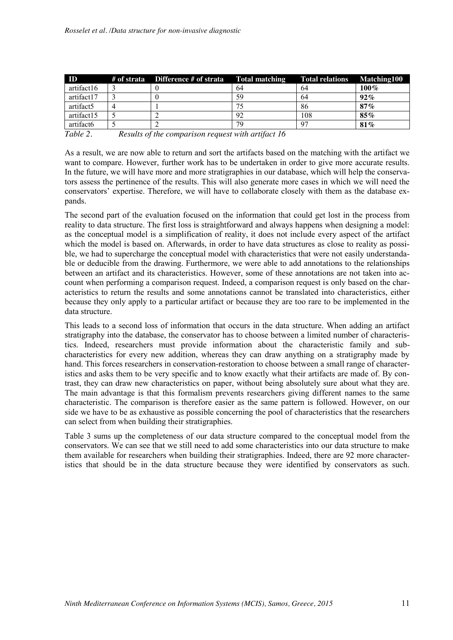| ID         | # of strata  Difference # of strata | Total matching | Total relations Matching100 |         |
|------------|-------------------------------------|----------------|-----------------------------|---------|
| artifact16 |                                     | 64             | 64                          | $100\%$ |
| artifact17 |                                     | 59             | 64                          | $92\%$  |
| artifact5  |                                     |                | 86                          | $87\%$  |
| artifact15 |                                     | 92             | 108                         | $85\%$  |
| artifact6  |                                     | 79             | 97                          | 81%     |

*Table 2. Results of the comparison request with artifact 16*

As a result, we are now able to return and sort the artifacts based on the matching with the artifact we want to compare. However, further work has to be undertaken in order to give more accurate results. In the future, we will have more and more stratigraphies in our database, which will help the conservators assess the pertinence of the results. This will also generate more cases in which we will need the conservators' expertise. Therefore, we will have to collaborate closely with them as the database expands.

The second part of the evaluation focused on the information that could get lost in the process from reality to data structure. The first loss is straightforward and always happens when designing a model: as the conceptual model is a simplification of reality, it does not include every aspect of the artifact which the model is based on. Afterwards, in order to have data structures as close to reality as possible, we had to supercharge the conceptual model with characteristics that were not easily understandable or deducible from the drawing. Furthermore, we were able to add annotations to the relationships between an artifact and its characteristics. However, some of these annotations are not taken into account when performing a comparison request. Indeed, a comparison request is only based on the characteristics to return the results and some annotations cannot be translated into characteristics, either because they only apply to a particular artifact or because they are too rare to be implemented in the data structure.

This leads to a second loss of information that occurs in the data structure. When adding an artifact stratigraphy into the database, the conservator has to choose between a limited number of characteristics. Indeed, researchers must provide information about the characteristic family and subcharacteristics for every new addition, whereas they can draw anything on a stratigraphy made by hand. This forces researchers in conservation-restoration to choose between a small range of characteristics and asks them to be very specific and to know exactly what their artifacts are made of. By contrast, they can draw new characteristics on paper, without being absolutely sure about what they are. The main advantage is that this formalism prevents researchers giving different names to the same characteristic. The comparison is therefore easier as the same pattern is followed. However, on our side we have to be as exhaustive as possible concerning the pool of characteristics that the researchers can select from when building their stratigraphies.

Table 3 sums up the completeness of our data structure compared to the conceptual model from the conservators. We can see that we still need to add some characteristics into our data structure to make them available for researchers when building their stratigraphies. Indeed, there are 92 more characteristics that should be in the data structure because they were identified by conservators as such.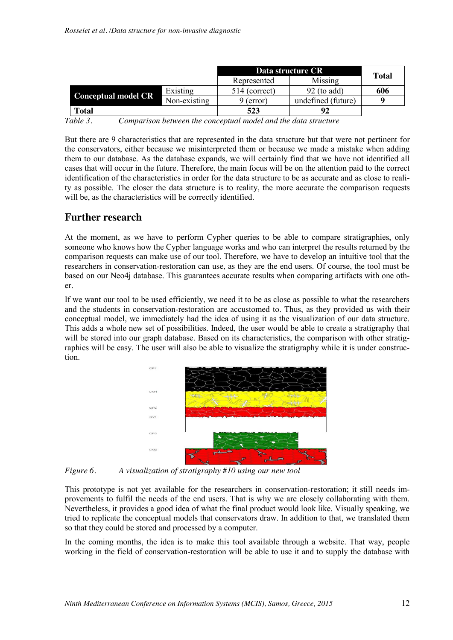|                            |              | Data structure CR |                    | <b>Total</b> |  |
|----------------------------|--------------|-------------------|--------------------|--------------|--|
|                            |              | Represented       | Missing            |              |  |
|                            | Existing     | 514 (correct)     | $92$ (to add)      | 606          |  |
| <b>Conceptual model CR</b> | Non-existing | 9 (error)         | undefined (future) |              |  |
| <b>Total</b>               |              | 523               | 92                 |              |  |

*Table 3. Comparison between the conceptual model and the data structure*

But there are 9 characteristics that are represented in the data structure but that were not pertinent for the conservators, either because we misinterpreted them or because we made a mistake when adding them to our database. As the database expands, we will certainly find that we have not identified all cases that will occur in the future. Therefore, the main focus will be on the attention paid to the correct identification of the characteristics in order for the data structure to be as accurate and as close to reality as possible. The closer the data structure is to reality, the more accurate the comparison requests will be, as the characteristics will be correctly identified.

#### **Further research**

At the moment, as we have to perform Cypher queries to be able to compare stratigraphies, only someone who knows how the Cypher language works and who can interpret the results returned by the comparison requests can make use of our tool. Therefore, we have to develop an intuitive tool that the researchers in conservation-restoration can use, as they are the end users. Of course, the tool must be based on our Neo4j database. This guarantees accurate results when comparing artifacts with one other.

If we want our tool to be used efficiently, we need it to be as close as possible to what the researchers and the students in conservation-restoration are accustomed to. Thus, as they provided us with their conceptual model, we immediately had the idea of using it as the visualization of our data structure. This adds a whole new set of possibilities. Indeed, the user would be able to create a stratigraphy that will be stored into our graph database. Based on its characteristics, the comparison with other stratigraphies will be easy. The user will also be able to visualize the stratigraphy while it is under construction.



*Figure 6. A visualization of stratigraphy #10 using our new tool*

This prototype is not yet available for the researchers in conservation-restoration; it still needs improvements to fulfil the needs of the end users. That is why we are closely collaborating with them. Nevertheless, it provides a good idea of what the final product would look like. Visually speaking, we tried to replicate the conceptual models that conservators draw. In addition to that, we translated them so that they could be stored and processed by a computer.

In the coming months, the idea is to make this tool available through a website. That way, people working in the field of conservation-restoration will be able to use it and to supply the database with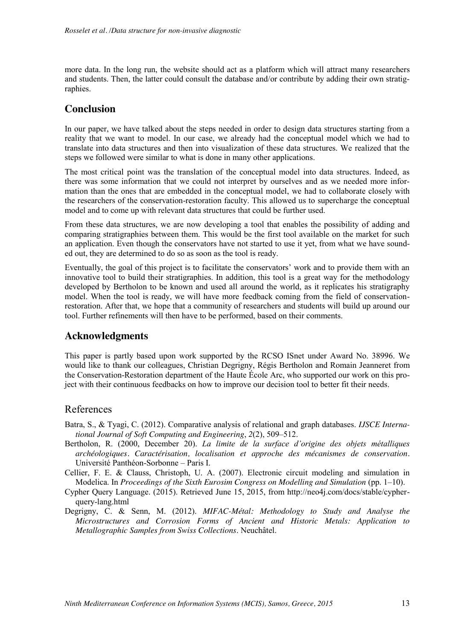more data. In the long run, the website should act as a platform which will attract many researchers and students. Then, the latter could consult the database and/or contribute by adding their own stratigraphies.

#### **Conclusion**

In our paper, we have talked about the steps needed in order to design data structures starting from a reality that we want to model. In our case, we already had the conceptual model which we had to translate into data structures and then into visualization of these data structures. We realized that the steps we followed were similar to what is done in many other applications.

The most critical point was the translation of the conceptual model into data structures. Indeed, as there was some information that we could not interpret by ourselves and as we needed more information than the ones that are embedded in the conceptual model, we had to collaborate closely with the researchers of the conservation-restoration faculty. This allowed us to supercharge the conceptual model and to come up with relevant data structures that could be further used.

From these data structures, we are now developing a tool that enables the possibility of adding and comparing stratigraphies between them. This would be the first tool available on the market for such an application. Even though the conservators have not started to use it yet, from what we have sounded out, they are determined to do so as soon as the tool is ready.

Eventually, the goal of this project is to facilitate the conservators' work and to provide them with an innovative tool to build their stratigraphies. In addition, this tool is a great way for the methodology developed by Bertholon to be known and used all around the world, as it replicates his stratigraphy model. When the tool is ready, we will have more feedback coming from the field of conservationrestoration. After that, we hope that a community of researchers and students will build up around our tool. Further refinements will then have to be performed, based on their comments.

#### **Acknowledgments**

This paper is partly based upon work supported by the RCSO ISnet under Award No. 38996. We would like to thank our colleagues, Christian Degrigny, Régis Bertholon and Romain Jeanneret from the Conservation-Restoration department of the Haute École Arc, who supported our work on this project with their continuous feedbacks on how to improve our decision tool to better fit their needs.

#### References

- Batra, S., & Tyagi, C. (2012). Comparative analysis of relational and graph databases. *IJSCE International Journal of Soft Computing and Engineering*, *2*(2), 509–512.
- Bertholon, R. (2000, December 20). *La limite de la surface d'origine des objets métalliques archéologiques. Caractérisation, localisation et approche des mécanismes de conservation.* Université Panthéon-Sorbonne – Paris I.
- Cellier, F. E. & Clauss, Christoph, U. A. (2007). Electronic circuit modeling and simulation in Modelica. In *Proceedings of the Sixth Eurosim Congress on Modelling and Simulation* (pp. 1–10).
- Cypher Query Language. (2015). Retrieved June 15, 2015, from http://neo4j.com/docs/stable/cypherquery-lang.html
- Degrigny, C. & Senn, M. (2012). *MIFAC-Métal: Methodology to Study and Analyse the Microstructures and Corrosion Forms of Ancient and Historic Metals: Application to Metallographic Samples from Swiss Collections*. Neuchâtel.